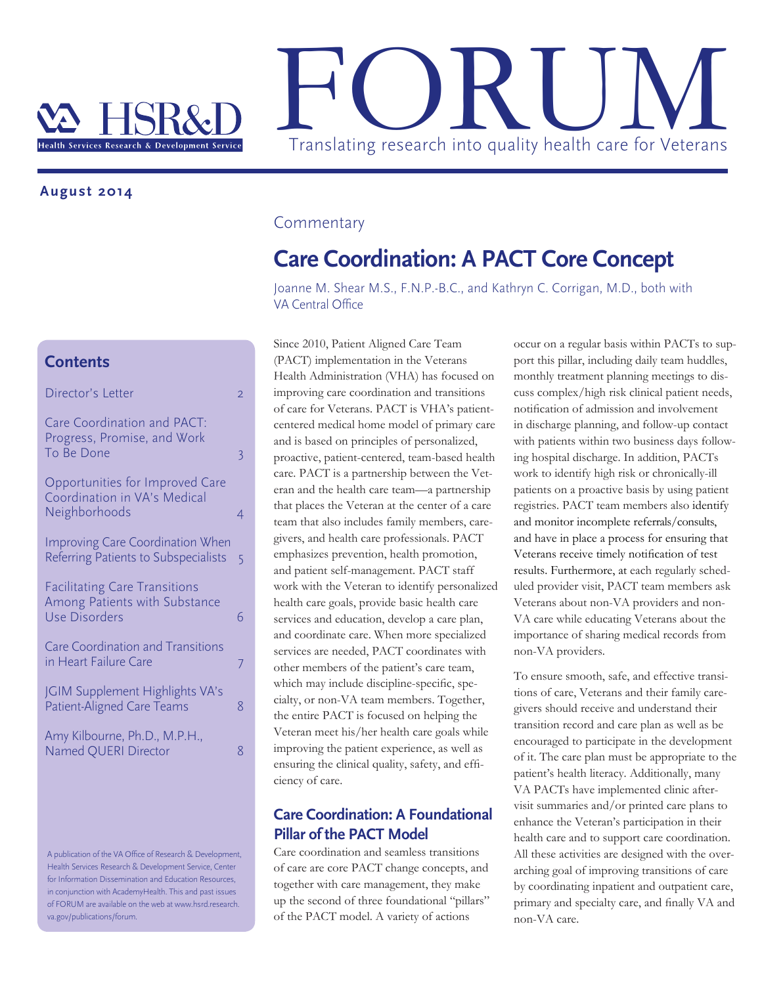

#### **August 2014**

### **Contents**

| Director's Letter                                                                             | $\overline{2}$ |
|-----------------------------------------------------------------------------------------------|----------------|
| Care Coordination and PACT:<br>Progress, Promise, and Work<br>To Be Done                      | 3              |
| Opportunities for Improved Care<br>Coordination in VA's Medical<br>Neighborhoods              | 4              |
| <b>Improving Care Coordination When</b><br>Referring Patients to Subspecialists               | 5              |
| <b>Facilitating Care Transitions</b><br>Among Patients with Substance<br><b>Use Disorders</b> | 6              |
| <b>Care Coordination and Transitions</b><br>in Heart Failure Care                             | 7              |
| JGIM Supplement Highlights VA's<br>Patient-Aligned Care Teams                                 | 8              |
| Amy Kilbourne, Ph.D., M.P.H.,<br>Named QUERI Director                                         | 8              |

A publication of the VA Office of Research & Development, Health Services Research & Development Service, Center for Information Dissemination and Education Resources, in conjunction with AcademyHealth. This and past issues of FORUM are available on the web at www.hsrd.research. va.gov/publications/forum.

#### Commentary

## **Care Coordination: A PACT Core Concept**

Joanne M. Shear M.S., F.N.P.-B.C., and Kathryn C. Corrigan, M.D., both with VA Central Office

Since 2010, Patient Aligned Care Team (PACT) implementation in the Veterans Health Administration (VHA) has focused on improving care coordination and transitions of care for Veterans. PACT is VHA's patientcentered medical home model of primary care and is based on principles of personalized, proactive, patient-centered, team-based health care. PACT is a partnership between the Veteran and the health care team—a partnership that places the Veteran at the center of a care team that also includes family members, caregivers, and health care professionals. PACT emphasizes prevention, health promotion, and patient self-management. PACT staff work with the Veteran to identify personalized health care goals, provide basic health care services and education, develop a care plan, and coordinate care. When more specialized services are needed, PACT coordinates with other members of the patient's care team, which may include discipline-specific, specialty, or non-VA team members. Together, the entire PACT is focused on helping the Veteran meet his/her health care goals while improving the patient experience, as well as ensuring the clinical quality, safety, and efficiency of care.

### **Care Coordination: A Foundational Pillar of the PACT Model**

Care coordination and seamless transitions of care are core PACT change concepts, and together with care management, they make up the second of three foundational "pillars" of the PACT model. A variety of actions

occur on a regular basis within PACTs to support this pillar, including daily team huddles, monthly treatment planning meetings to discuss complex/high risk clinical patient needs, notification of admission and involvement in discharge planning, and follow-up contact with patients within two business days following hospital discharge. In addition, PACTs work to identify high risk or chronically-ill patients on a proactive basis by using patient registries. PACT team members also identify and monitor incomplete referrals/consults, and have in place a process for ensuring that Veterans receive timely notification of test results. Furthermore, at each regularly scheduled provider visit, PACT team members ask Veterans about non-VA providers and non-VA care while educating Veterans about the importance of sharing medical records from non-VA providers.

To ensure smooth, safe, and effective transitions of care, Veterans and their family caregivers should receive and understand their transition record and care plan as well as be encouraged to participate in the development of it. The care plan must be appropriate to the patient's health literacy. Additionally, many VA PACTs have implemented clinic aftervisit summaries and/or printed care plans to enhance the Veteran's participation in their health care and to support care coordination. All these activities are designed with the overarching goal of improving transitions of care by coordinating inpatient and outpatient care, primary and specialty care, and finally VA and non-VA care.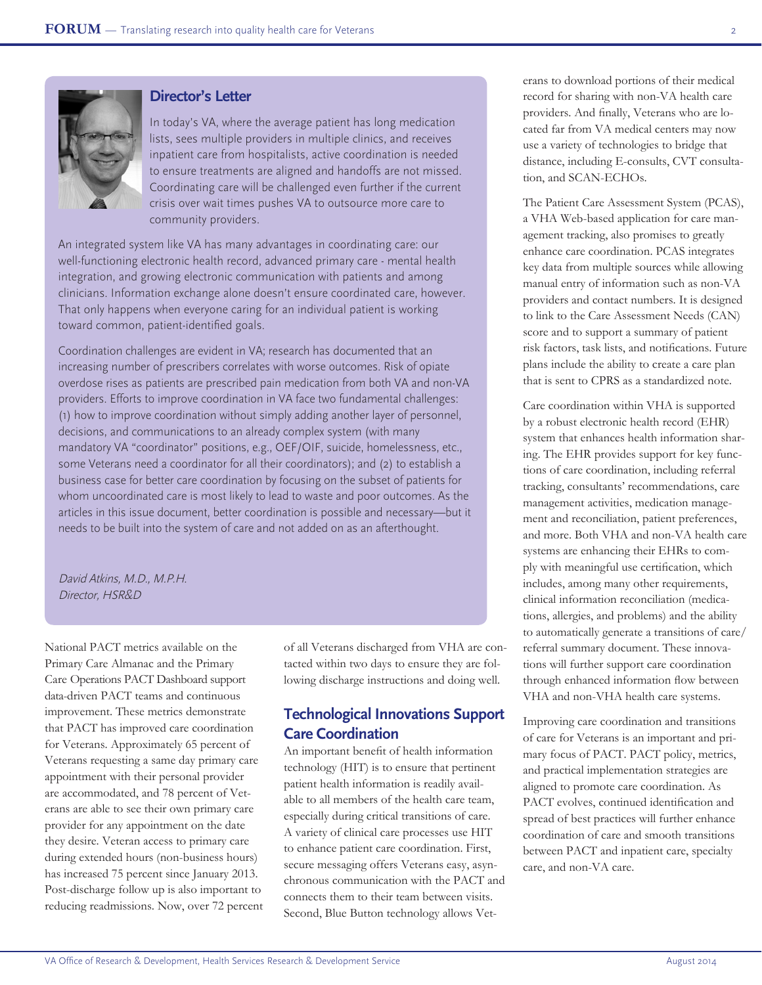

### **Director's Letter**

In today's VA, where the average patient has long medication lists, sees multiple providers in multiple clinics, and receives inpatient care from hospitalists, active coordination is needed to ensure treatments are aligned and handoffs are not missed. Coordinating care will be challenged even further if the current crisis over wait times pushes VA to outsource more care to community providers.

An integrated system like VA has many advantages in coordinating care: our well-functioning electronic health record, advanced primary care - mental health integration, and growing electronic communication with patients and among clinicians. Information exchange alone doesn't ensure coordinated care, however. That only happens when everyone caring for an individual patient is working toward common, patient-identified goals.

Coordination challenges are evident in VA; research has documented that an increasing number of prescribers correlates with worse outcomes. Risk of opiate overdose rises as patients are prescribed pain medication from both VA and non-VA providers. Efforts to improve coordination in VA face two fundamental challenges: (1) how to improve coordination without simply adding another layer of personnel, decisions, and communications to an already complex system (with many mandatory VA "coordinator" positions, e.g., OEF/OIF, suicide, homelessness, etc., some Veterans need a coordinator for all their coordinators); and (2) to establish a business case for better care coordination by focusing on the subset of patients for whom uncoordinated care is most likely to lead to waste and poor outcomes. As the articles in this issue document, better coordination is possible and necessary—but it needs to be built into the system of care and not added on as an afterthought.

David Atkins, M.D., M.P.H. Director, HSR&D

National PACT metrics available on the Primary Care Almanac and the Primary Care Operations PACT Dashboard support data-driven PACT teams and continuous improvement. These metrics demonstrate that PACT has improved care coordination for Veterans. Approximately 65 percent of Veterans requesting a same day primary care appointment with their personal provider are accommodated, and 78 percent of Veterans are able to see their own primary care provider for any appointment on the date they desire. Veteran access to primary care during extended hours (non-business hours) has increased 75 percent since January 2013. Post-discharge follow up is also important to reducing readmissions. Now, over 72 percent of all Veterans discharged from VHA are contacted within two days to ensure they are following discharge instructions and doing well.

### **Technological Innovations Support Care Coordination**

An important benefit of health information technology (HIT) is to ensure that pertinent patient health information is readily available to all members of the health care team, especially during critical transitions of care. A variety of clinical care processes use HIT to enhance patient care coordination. First, secure messaging offers Veterans easy, asynchronous communication with the PACT and connects them to their team between visits. Second, Blue Button technology allows Veterans to download portions of their medical record for sharing with non-VA health care providers. And finally, Veterans who are located far from VA medical centers may now use a variety of technologies to bridge that distance, including E-consults, CVT consultation, and SCAN-ECHOs.

The Patient Care Assessment System (PCAS), a VHA Web-based application for care management tracking, also promises to greatly enhance care coordination. PCAS integrates key data from multiple sources while allowing manual entry of information such as non-VA providers and contact numbers. It is designed to link to the Care Assessment Needs (CAN) score and to support a summary of patient risk factors, task lists, and notifications. Future plans include the ability to create a care plan that is sent to CPRS as a standardized note.

Care coordination within VHA is supported by a robust electronic health record (EHR) system that enhances health information sharing. The EHR provides support for key functions of care coordination, including referral tracking, consultants' recommendations, care management activities, medication management and reconciliation, patient preferences, and more. Both VHA and non-VA health care systems are enhancing their EHRs to comply with meaningful use certification, which includes, among many other requirements, clinical information reconciliation (medications, allergies, and problems) and the ability to automatically generate a transitions of care/ referral summary document. These innovations will further support care coordination through enhanced information flow between VHA and non-VHA health care systems.

Improving care coordination and transitions of care for Veterans is an important and primary focus of PACT. PACT policy, metrics, and practical implementation strategies are aligned to promote care coordination. As PACT evolves, continued identification and spread of best practices will further enhance coordination of care and smooth transitions between PACT and inpatient care, specialty care, and non-VA care.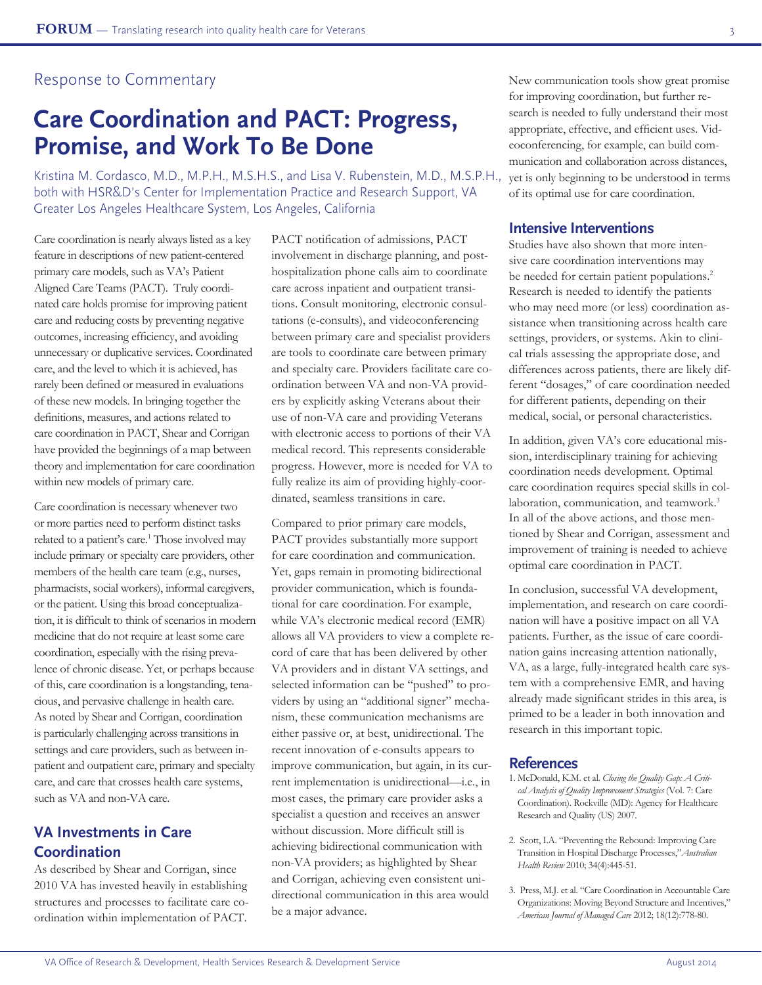### Response to Commentary

## **Care Coordination and PACT: Progress, Promise, and Work To Be Done**

Kristina M. Cordasco, M.D., M.P.H., M.S.H.S., and Lisa V. Rubenstein, M.D., M.S.P.H., both with HSR&D's Center for Implementation Practice and Research Support, VA Greater Los Angeles Healthcare System, Los Angeles, California

Care coordination is nearly always listed as a key feature in descriptions of new patient-centered primary care models, such as VA's Patient Aligned Care Teams (PACT). Truly coordinated care holds promise for improving patient care and reducing costs by preventing negative outcomes, increasing efficiency, and avoiding unnecessary or duplicative services. Coordinated care, and the level to which it is achieved, has rarely been defined or measured in evaluations of these new models. In bringing together the definitions, measures, and actions related to care coordination in PACT, Shear and Corrigan have provided the beginnings of a map between theory and implementation for care coordination within new models of primary care.

Care coordination is necessary whenever two or more parties need to perform distinct tasks related to a patient's care.<sup>1</sup> Those involved may include primary or specialty care providers, other members of the health care team (e.g., nurses, pharmacists, social workers), informal caregivers, or the patient. Using this broad conceptualization, it is difficult to think of scenarios in modern medicine that do not require at least some care coordination, especially with the rising prevalence of chronic disease. Yet, or perhaps because of this, care coordination is a longstanding, tenacious, and pervasive challenge in health care. As noted by Shear and Corrigan, coordination is particularly challenging across transitions in settings and care providers, such as between inpatient and outpatient care, primary and specialty care, and care that crosses health care systems, such as VA and non-VA care.

## **VA Investments in Care Coordination**

As described by Shear and Corrigan, since 2010 VA has invested heavily in establishing structures and processes to facilitate care coordination within implementation of PACT.

PACT notification of admissions, PACT involvement in discharge planning, and posthospitalization phone calls aim to coordinate care across inpatient and outpatient transitions. Consult monitoring, electronic consultations (e-consults), and videoconferencing between primary care and specialist providers are tools to coordinate care between primary and specialty care. Providers facilitate care coordination between VA and non-VA providers by explicitly asking Veterans about their use of non-VA care and providing Veterans with electronic access to portions of their VA medical record. This represents considerable progress. However, more is needed for VA to fully realize its aim of providing highly-coordinated, seamless transitions in care.

Compared to prior primary care models, PACT provides substantially more support for care coordination and communication. Yet, gaps remain in promoting bidirectional provider communication, which is foundational for care coordination. For example, while VA's electronic medical record (EMR) allows all VA providers to view a complete record of care that has been delivered by other VA providers and in distant VA settings, and selected information can be "pushed" to providers by using an "additional signer" mechanism, these communication mechanisms are either passive or, at best, unidirectional. The recent innovation of e-consults appears to improve communication, but again, in its current implementation is unidirectional—i.e., in most cases, the primary care provider asks a specialist a question and receives an answer without discussion. More difficult still is achieving bidirectional communication with non-VA providers; as highlighted by Shear and Corrigan, achieving even consistent unidirectional communication in this area would be a major advance.

New communication tools show great promise for improving coordination, but further research is needed to fully understand their most appropriate, effective, and efficient uses. Videoconferencing, for example, can build communication and collaboration across distances, yet is only beginning to be understood in terms of its optimal use for care coordination.

#### **Intensive Interventions**

Studies have also shown that more intensive care coordination interventions may be needed for certain patient populations.<sup>2</sup> Research is needed to identify the patients who may need more (or less) coordination assistance when transitioning across health care settings, providers, or systems. Akin to clinical trials assessing the appropriate dose, and differences across patients, there are likely different "dosages," of care coordination needed for different patients, depending on their medical, social, or personal characteristics.

In addition, given VA's core educational mission, interdisciplinary training for achieving coordination needs development. Optimal care coordination requires special skills in collaboration, communication, and teamwork.<sup>3</sup> In all of the above actions, and those mentioned by Shear and Corrigan, assessment and improvement of training is needed to achieve optimal care coordination in PACT.

In conclusion, successful VA development, implementation, and research on care coordination will have a positive impact on all VA patients. Further, as the issue of care coordination gains increasing attention nationally, VA, as a large, fully-integrated health care system with a comprehensive EMR, and having already made significant strides in this area, is primed to be a leader in both innovation and research in this important topic.

- 1. McDonald, K.M. et al. *Closing the Quality Gap: A Critical Analysis of Quality Improvement Strategies* (Vol. 7: Care Coordination). Rockville (MD): Agency for Healthcare Research and Quality (US) 2007.
- 2. Scott, I.A. "Preventing the Rebound: Improving Care Transition in Hospital Discharge Processes,"*Australian Health Review* 2010; 34(4):445-51.
- 3. Press, M.J. et al. "Care Coordination in Accountable Care Organizations: Moving Beyond Structure and Incentives," *American Journal of Managed Care* 2012; 18(12):778-80.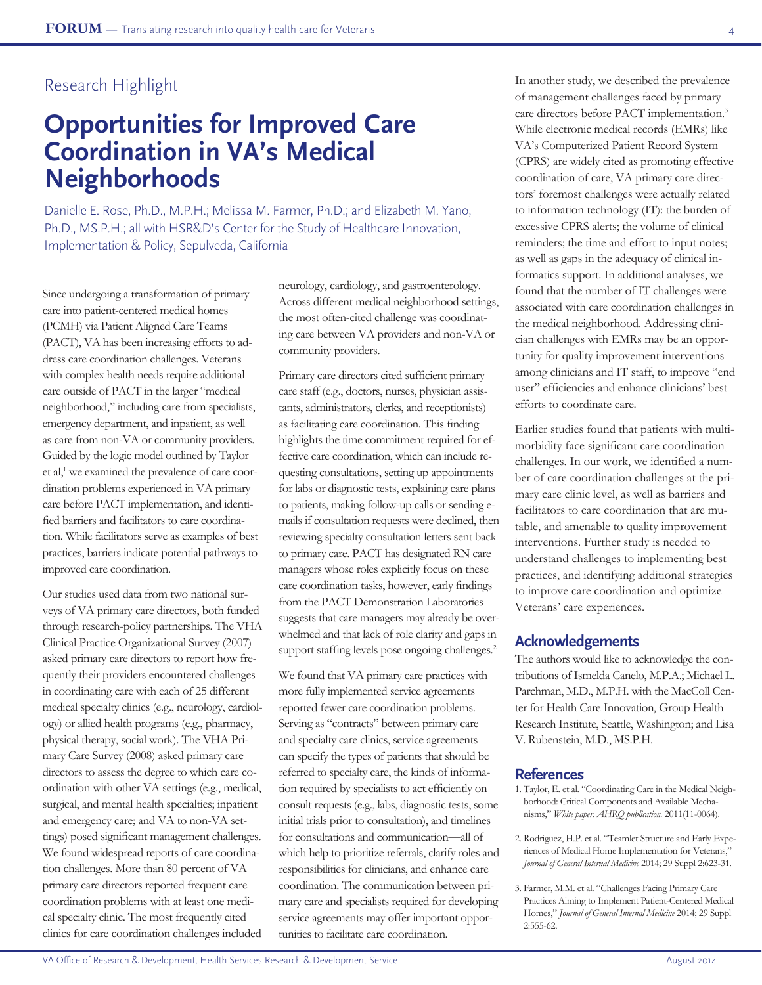# **Opportunities for Improved Care Coordination in VA's Medical Neighborhoods**

Danielle E. Rose, Ph.D., M.P.H.; Melissa M. Farmer, Ph.D.; and Elizabeth M. Yano, Ph.D., MS.P.H.; all with HSR&D's Center for the Study of Healthcare Innovation, Implementation & Policy, Sepulveda, California

Since undergoing a transformation of primary care into patient-centered medical homes (PCMH) via Patient Aligned Care Teams (PACT), VA has been increasing efforts to address care coordination challenges. Veterans with complex health needs require additional care outside of PACT in the larger "medical neighborhood," including care from specialists, emergency department, and inpatient, as well as care from non-VA or community providers. Guided by the logic model outlined by Taylor et al,<sup>1</sup> we examined the prevalence of care coordination problems experienced in VA primary care before PACT implementation, and identified barriers and facilitators to care coordination. While facilitators serve as examples of best practices, barriers indicate potential pathways to improved care coordination.

Our studies used data from two national surveys of VA primary care directors, both funded through research-policy partnerships. The VHA Clinical Practice Organizational Survey (2007) asked primary care directors to report how frequently their providers encountered challenges in coordinating care with each of 25 different medical specialty clinics (e.g., neurology, cardiology) or allied health programs (e.g., pharmacy, physical therapy, social work). The VHA Primary Care Survey (2008) asked primary care directors to assess the degree to which care coordination with other VA settings (e.g., medical, surgical, and mental health specialties; inpatient and emergency care; and VA to non-VA settings) posed significant management challenges. We found widespread reports of care coordination challenges. More than 80 percent of VA primary care directors reported frequent care coordination problems with at least one medical specialty clinic. The most frequently cited clinics for care coordination challenges included

neurology, cardiology, and gastroenterology. Across different medical neighborhood settings, the most often-cited challenge was coordinating care between VA providers and non-VA or community providers.

Primary care directors cited sufficient primary care staff (e.g., doctors, nurses, physician assistants, administrators, clerks, and receptionists) as facilitating care coordination. This finding highlights the time commitment required for effective care coordination, which can include requesting consultations, setting up appointments for labs or diagnostic tests, explaining care plans to patients, making follow-up calls or sending emails if consultation requests were declined, then reviewing specialty consultation letters sent back to primary care. PACT has designated RN care managers whose roles explicitly focus on these care coordination tasks, however, early findings from the PACT Demonstration Laboratories suggests that care managers may already be overwhelmed and that lack of role clarity and gaps in support staffing levels pose ongoing challenges.<sup>2</sup>

We found that VA primary care practices with more fully implemented service agreements reported fewer care coordination problems. Serving as "contracts" between primary care and specialty care clinics, service agreements can specify the types of patients that should be referred to specialty care, the kinds of information required by specialists to act efficiently on consult requests (e.g., labs, diagnostic tests, some initial trials prior to consultation), and timelines for consultations and communication—all of which help to prioritize referrals, clarify roles and responsibilities for clinicians, and enhance care coordination. The communication between primary care and specialists required for developing service agreements may offer important opportunities to facilitate care coordination.

In another study, we described the prevalence of management challenges faced by primary care directors before PACT implementation.3 While electronic medical records (EMRs) like VA's Computerized Patient Record System (CPRS) are widely cited as promoting effective coordination of care, VA primary care directors' foremost challenges were actually related to information technology (IT): the burden of excessive CPRS alerts; the volume of clinical reminders; the time and effort to input notes; as well as gaps in the adequacy of clinical informatics support. In additional analyses, we found that the number of IT challenges were associated with care coordination challenges in the medical neighborhood. Addressing clinician challenges with EMRs may be an opportunity for quality improvement interventions among clinicians and IT staff, to improve "end user" efficiencies and enhance clinicians' best efforts to coordinate care.

Earlier studies found that patients with multimorbidity face significant care coordination challenges. In our work, we identified a number of care coordination challenges at the primary care clinic level, as well as barriers and facilitators to care coordination that are mutable, and amenable to quality improvement interventions. Further study is needed to understand challenges to implementing best practices, and identifying additional strategies to improve care coordination and optimize Veterans' care experiences.

#### **Acknowledgements**

The authors would like to acknowledge the contributions of Ismelda Canelo, M.P.A.; Michael L. Parchman, M.D., M.P.H. with the MacColl Center for Health Care Innovation, Group Health Research Institute, Seattle, Washington; and Lisa V. Rubenstein, M.D., MS.P.H.

- 1. Taylor, E. et al. "Coordinating Care in the Medical Neighborhood: Critical Components and Available Mechanisms," *White paper. AHRQ publication.* 2011(11-0064).
- 2. Rodriguez, H.P. et al. "Teamlet Structure and Early Experiences of Medical Home Implementation for Veterans," *Journal of General Internal Medicine* 2014; 29 Suppl 2:623-31.
- 3. Farmer, M.M. et al. "Challenges Facing Primary Care Practices Aiming to Implement Patient-Centered Medical Homes," *Journal of General Internal Medicine* 2014; 29 Suppl 2:555-62.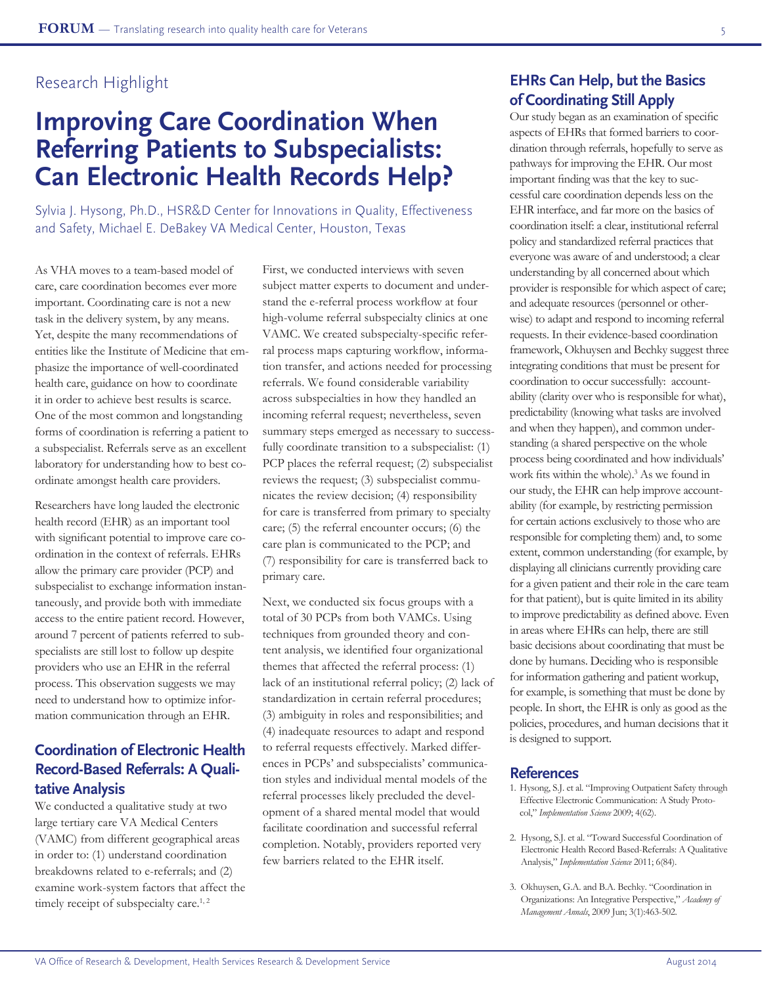# **Improving Care Coordination When Referring Patients to Subspecialists: Can Electronic Health Records Help?**

Sylvia J. Hysong, Ph.D., HSR&D Center for Innovations in Quality, Effectiveness and Safety, Michael E. DeBakey VA Medical Center, Houston, Texas

As VHA moves to a team-based model of care, care coordination becomes ever more important. Coordinating care is not a new task in the delivery system, by any means. Yet, despite the many recommendations of entities like the Institute of Medicine that emphasize the importance of well-coordinated health care, guidance on how to coordinate it in order to achieve best results is scarce. One of the most common and longstanding forms of coordination is referring a patient to a subspecialist. Referrals serve as an excellent laboratory for understanding how to best coordinate amongst health care providers.

Researchers have long lauded the electronic health record (EHR) as an important tool with significant potential to improve care coordination in the context of referrals. EHRs allow the primary care provider (PCP) and subspecialist to exchange information instantaneously, and provide both with immediate access to the entire patient record. However, around 7 percent of patients referred to subspecialists are still lost to follow up despite providers who use an EHR in the referral process. This observation suggests we may need to understand how to optimize information communication through an EHR.

## **Coordination of Electronic Health Record-Based Referrals: A Qualitative Analysis**

We conducted a qualitative study at two large tertiary care VA Medical Centers (VAMC) from different geographical areas in order to: (1) understand coordination breakdowns related to e-referrals; and (2) examine work-system factors that affect the timely receipt of subspecialty care.<sup>1,2</sup>

First, we conducted interviews with seven subject matter experts to document and understand the e-referral process workflow at four high-volume referral subspecialty clinics at one VAMC. We created subspecialty-specific referral process maps capturing workflow, information transfer, and actions needed for processing referrals. We found considerable variability across subspecialties in how they handled an incoming referral request; nevertheless, seven summary steps emerged as necessary to successfully coordinate transition to a subspecialist: (1) PCP places the referral request; (2) subspecialist reviews the request; (3) subspecialist communicates the review decision; (4) responsibility for care is transferred from primary to specialty care; (5) the referral encounter occurs; (6) the care plan is communicated to the PCP; and (7) responsibility for care is transferred back to primary care.

Next, we conducted six focus groups with a total of 30 PCPs from both VAMCs. Using techniques from grounded theory and content analysis, we identified four organizational themes that affected the referral process: (1) lack of an institutional referral policy; (2) lack of standardization in certain referral procedures; (3) ambiguity in roles and responsibilities; and (4) inadequate resources to adapt and respond to referral requests effectively. Marked differences in PCPs' and subspecialists' communication styles and individual mental models of the referral processes likely precluded the development of a shared mental model that would facilitate coordination and successful referral completion. Notably, providers reported very few barriers related to the EHR itself.

## **EHRs Can Help, but the Basics of Coordinating Still Apply**

Our study began as an examination of specific aspects of EHRs that formed barriers to coordination through referrals, hopefully to serve as pathways for improving the EHR. Our most important finding was that the key to successful care coordination depends less on the EHR interface, and far more on the basics of coordination itself: a clear, institutional referral policy and standardized referral practices that everyone was aware of and understood; a clear understanding by all concerned about which provider is responsible for which aspect of care; and adequate resources (personnel or otherwise) to adapt and respond to incoming referral requests. In their evidence-based coordination framework, Okhuysen and Bechky suggest three integrating conditions that must be present for coordination to occur successfully: accountability (clarity over who is responsible for what), predictability (knowing what tasks are involved and when they happen), and common understanding (a shared perspective on the whole process being coordinated and how individuals' work fits within the whole). 3 As we found in our study, the EHR can help improve accountability (for example, by restricting permission for certain actions exclusively to those who are responsible for completing them) and, to some extent, common understanding (for example, by displaying all clinicians currently providing care for a given patient and their role in the care team for that patient), but is quite limited in its ability to improve predictability as defined above. Even in areas where EHRs can help, there are still basic decisions about coordinating that must be done by humans. Deciding who is responsible for information gathering and patient workup, for example, is something that must be done by people. In short, the EHR is only as good as the policies, procedures, and human decisions that it is designed to support.

- 1. Hysong, S.J. et al. "Improving Outpatient Safety through Effective Electronic Communication: A Study Protocol," *Implementation Science* 2009; 4(62).
- 2. Hysong, S.J. et al. "Toward Successful Coordination of Electronic Health Record Based-Referrals: A Qualitative Analysis," *Implementation Science* 2011; 6(84).
- 3. Okhuysen, G.A. and B.A. Bechky. "Coordination in Organizations: An Integrative Perspective," *Academy of Management Annals*, 2009 Jun; 3(1):463-502.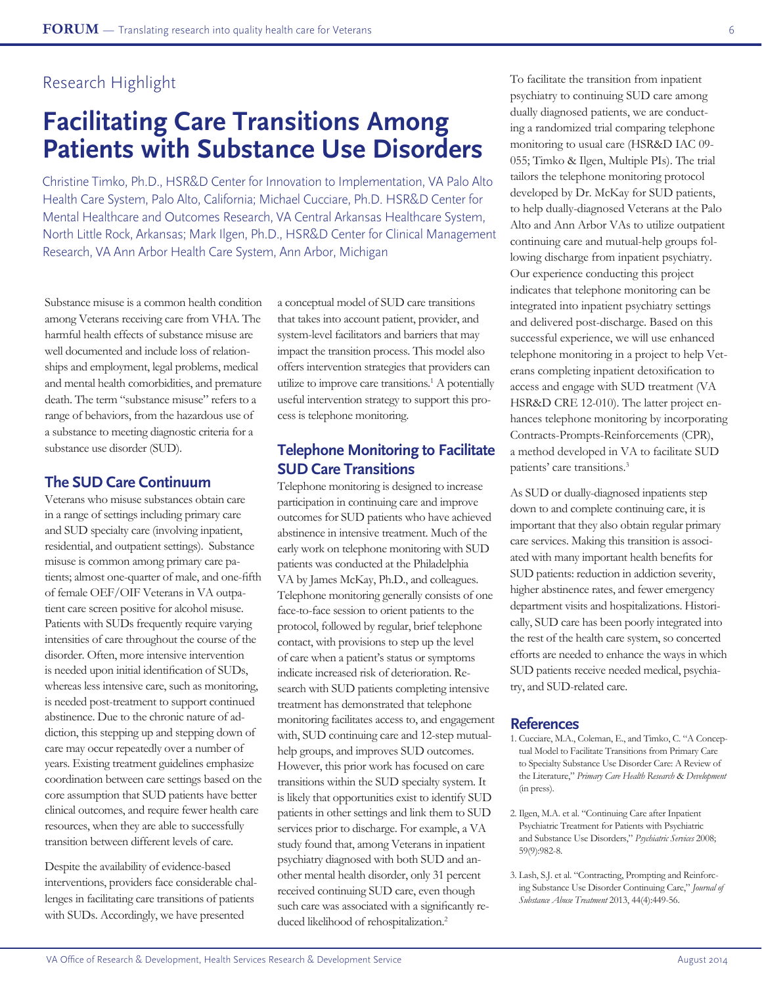## **Facilitating Care Transitions Among Patients with Substance Use Disorders**

Christine Timko, Ph.D., HSR&D Center for Innovation to Implementation, VA Palo Alto Health Care System, Palo Alto, California; Michael Cucciare, Ph.D. HSR&D Center for Mental Healthcare and Outcomes Research, VA Central Arkansas Healthcare System, North Little Rock, Arkansas; Mark Ilgen, Ph.D., HSR&D Center for Clinical Management Research, VA Ann Arbor Health Care System, Ann Arbor, Michigan

Substance misuse is a common health condition among Veterans receiving care from VHA. The harmful health effects of substance misuse are well documented and include loss of relationships and employment, legal problems, medical and mental health comorbidities, and premature death. The term "substance misuse" refers to a range of behaviors, from the hazardous use of a substance to meeting diagnostic criteria for a substance use disorder (SUD).

#### **The SUD Care Continuum**

Veterans who misuse substances obtain care in a range of settings including primary care and SUD specialty care (involving inpatient, residential, and outpatient settings). Substance misuse is common among primary care patients; almost one-quarter of male, and one-fifth of female OEF/OIF Veterans in VA outpatient care screen positive for alcohol misuse. Patients with SUDs frequently require varying intensities of care throughout the course of the disorder. Often, more intensive intervention is needed upon initial identification of SUDs, whereas less intensive care, such as monitoring, is needed post-treatment to support continued abstinence. Due to the chronic nature of addiction, this stepping up and stepping down of care may occur repeatedly over a number of years. Existing treatment guidelines emphasize coordination between care settings based on the core assumption that SUD patients have better clinical outcomes, and require fewer health care resources, when they are able to successfully transition between different levels of care.

Despite the availability of evidence-based interventions, providers face considerable challenges in facilitating care transitions of patients with SUDs. Accordingly, we have presented

a conceptual model of SUD care transitions that takes into account patient, provider, and system-level facilitators and barriers that may impact the transition process. This model also offers intervention strategies that providers can utilize to improve care transitions.<sup>1</sup> A potentially useful intervention strategy to support this process is telephone monitoring.

### **Telephone Monitoring to Facilitate SUD Care Transitions**

Telephone monitoring is designed to increase participation in continuing care and improve outcomes for SUD patients who have achieved abstinence in intensive treatment. Much of the early work on telephone monitoring with SUD patients was conducted at the Philadelphia VA by James McKay, Ph.D., and colleagues. Telephone monitoring generally consists of one face-to-face session to orient patients to the protocol, followed by regular, brief telephone contact, with provisions to step up the level of care when a patient's status or symptoms indicate increased risk of deterioration. Research with SUD patients completing intensive treatment has demonstrated that telephone monitoring facilitates access to, and engagement with, SUD continuing care and 12-step mutualhelp groups, and improves SUD outcomes. However, this prior work has focused on care transitions within the SUD specialty system. It is likely that opportunities exist to identify SUD patients in other settings and link them to SUD services prior to discharge. For example, a VA study found that, among Veterans in inpatient psychiatry diagnosed with both SUD and another mental health disorder, only 31 percent received continuing SUD care, even though such care was associated with a significantly reduced likelihood of rehospitalization.<sup>2</sup>

To facilitate the transition from inpatient psychiatry to continuing SUD care among dually diagnosed patients, we are conducting a randomized trial comparing telephone monitoring to usual care (HSR&D IAC 09- 055; Timko & Ilgen, Multiple PIs). The trial tailors the telephone monitoring protocol developed by Dr. McKay for SUD patients, to help dually-diagnosed Veterans at the Palo Alto and Ann Arbor VAs to utilize outpatient continuing care and mutual-help groups following discharge from inpatient psychiatry. Our experience conducting this project indicates that telephone monitoring can be integrated into inpatient psychiatry settings and delivered post-discharge. Based on this successful experience, we will use enhanced telephone monitoring in a project to help Veterans completing inpatient detoxification to access and engage with SUD treatment (VA HSR&D CRE 12-010). The latter project enhances telephone monitoring by incorporating Contracts-Prompts-Reinforcements (CPR), a method developed in VA to facilitate SUD patients' care transitions.<sup>3</sup>

As SUD or dually-diagnosed inpatients step down to and complete continuing care, it is important that they also obtain regular primary care services. Making this transition is associated with many important health benefits for SUD patients: reduction in addiction severity, higher abstinence rates, and fewer emergency department visits and hospitalizations. Historically, SUD care has been poorly integrated into the rest of the health care system, so concerted efforts are needed to enhance the ways in which SUD patients receive needed medical, psychiatry, and SUD-related care.

- 1. Cucciare, M.A., Coleman, E., and Timko, C. "A Conceptual Model to Facilitate Transitions from Primary Care to Specialty Substance Use Disorder Care: A Review of the Literature," *Primary Care Health Research* & *Development* (in press).
- 2. Ilgen, M.A. et al. "Continuing Care after Inpatient Psychiatric Treatment for Patients with Psychiatric and Substance Use Disorders," *Psychiatric Services* 2008; 59(9):982-8.
- 3. Lash, S.J. et al. "Contracting, Prompting and Reinforcing Substance Use Disorder Continuing Care," *Journal of Substance Abuse Treatment* 2013, 44(4):449-56.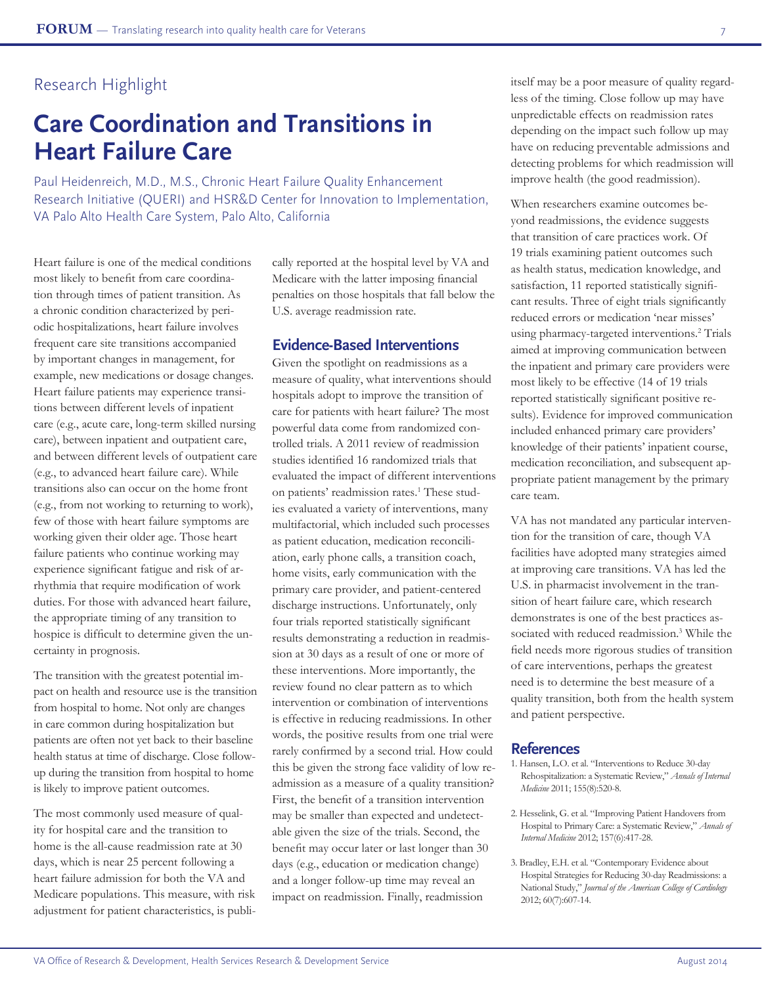# **Care Coordination and Transitions in Heart Failure Care**

Paul Heidenreich, M.D., M.S., Chronic Heart Failure Quality Enhancement Research Initiative (QUERI) and HSR&D Center for Innovation to Implementation, VA Palo Alto Health Care System, Palo Alto, California

Heart failure is one of the medical conditions most likely to benefit from care coordination through times of patient transition. As a chronic condition characterized by periodic hospitalizations, heart failure involves frequent care site transitions accompanied by important changes in management, for example, new medications or dosage changes. Heart failure patients may experience transitions between different levels of inpatient care (e.g., acute care, long-term skilled nursing care), between inpatient and outpatient care, and between different levels of outpatient care (e.g., to advanced heart failure care). While transitions also can occur on the home front (e.g., from not working to returning to work), few of those with heart failure symptoms are working given their older age. Those heart failure patients who continue working may experience significant fatigue and risk of arrhythmia that require modification of work duties. For those with advanced heart failure, the appropriate timing of any transition to hospice is difficult to determine given the uncertainty in prognosis.

The transition with the greatest potential impact on health and resource use is the transition from hospital to home. Not only are changes in care common during hospitalization but patients are often not yet back to their baseline health status at time of discharge. Close followup during the transition from hospital to home is likely to improve patient outcomes.

The most commonly used measure of quality for hospital care and the transition to home is the all-cause readmission rate at 30 days, which is near 25 percent following a heart failure admission for both the VA and Medicare populations. This measure, with risk adjustment for patient characteristics, is publically reported at the hospital level by VA and Medicare with the latter imposing financial penalties on those hospitals that fall below the U.S. average readmission rate.

#### **Evidence-Based Interventions**

Given the spotlight on readmissions as a measure of quality, what interventions should hospitals adopt to improve the transition of care for patients with heart failure? The most powerful data come from randomized controlled trials. A 2011 review of readmission studies identified 16 randomized trials that evaluated the impact of different interventions on patients' readmission rates.<sup>1</sup> These studies evaluated a variety of interventions, many multifactorial, which included such processes as patient education, medication reconciliation, early phone calls, a transition coach, home visits, early communication with the primary care provider, and patient-centered discharge instructions. Unfortunately, only four trials reported statistically significant results demonstrating a reduction in readmission at 30 days as a result of one or more of these interventions. More importantly, the review found no clear pattern as to which intervention or combination of interventions is effective in reducing readmissions. In other words, the positive results from one trial were rarely confirmed by a second trial. How could this be given the strong face validity of low readmission as a measure of a quality transition? First, the benefit of a transition intervention may be smaller than expected and undetectable given the size of the trials. Second, the benefit may occur later or last longer than 30 days (e.g., education or medication change) and a longer follow-up time may reveal an impact on readmission. Finally, readmission

itself may be a poor measure of quality regardless of the timing. Close follow up may have unpredictable effects on readmission rates depending on the impact such follow up may have on reducing preventable admissions and detecting problems for which readmission will improve health (the good readmission).

When researchers examine outcomes beyond readmissions, the evidence suggests that transition of care practices work. Of 19 trials examining patient outcomes such as health status, medication knowledge, and satisfaction, 11 reported statistically significant results. Three of eight trials significantly reduced errors or medication 'near misses' using pharmacy-targeted interventions.2 Trials aimed at improving communication between the inpatient and primary care providers were most likely to be effective (14 of 19 trials reported statistically significant positive results). Evidence for improved communication included enhanced primary care providers' knowledge of their patients' inpatient course, medication reconciliation, and subsequent appropriate patient management by the primary care team.

VA has not mandated any particular intervention for the transition of care, though VA facilities have adopted many strategies aimed at improving care transitions. VA has led the U.S. in pharmacist involvement in the transition of heart failure care, which research demonstrates is one of the best practices associated with reduced readmission.3 While the field needs more rigorous studies of transition of care interventions, perhaps the greatest need is to determine the best measure of a quality transition, both from the health system and patient perspective.

- 1. Hansen, L.O. et al. "Interventions to Reduce 30-day Rehospitalization: a Systematic Review," *Annals of Internal Medicine* 2011; 155(8):520-8.
- 2. Hesselink, G. et al. "Improving Patient Handovers from Hospital to Primary Care: a Systematic Review," *Annals of Internal Medicine* 2012; 157(6):417-28.
- 3. Bradley, E.H. et al. "Contemporary Evidence about Hospital Strategies for Reducing 30-day Readmissions: a National Study," *Journal of the American College of Cardiology* 2012; 60(7):607-14.